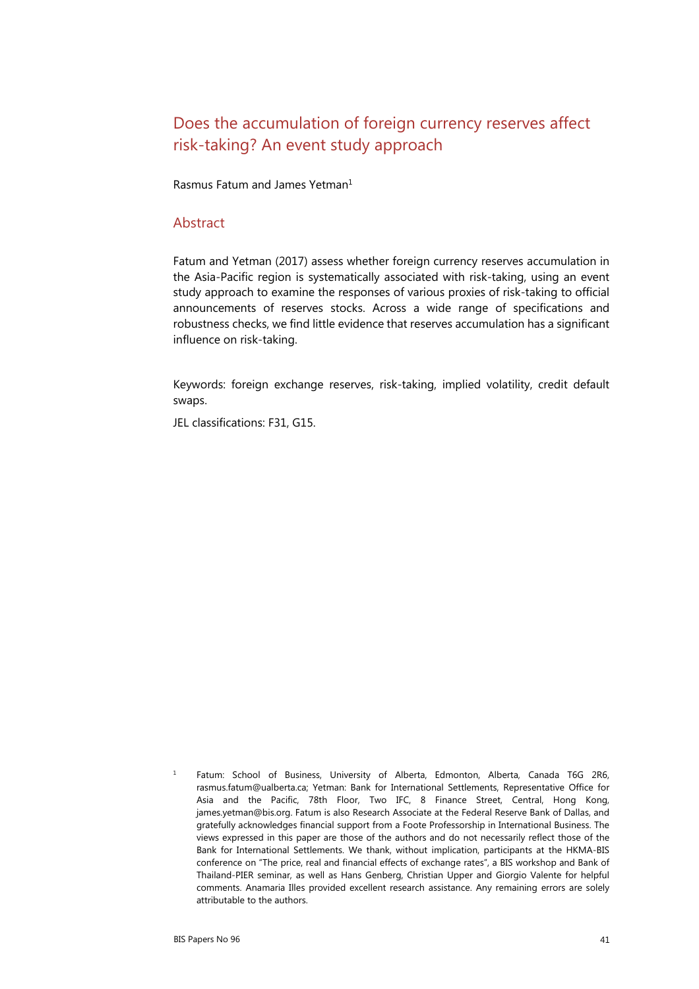# Does the accumulation of foreign currency reserves affect risk-taking? An event study approach

Rasmus Fatum and James Yetman $1$ 

# Abstract

Fatum and Yetman (2017) assess whether foreign currency reserves accumulation in the Asia-Pacific region is systematically associated with risk-taking, using an event study approach to examine the responses of various proxies of risk-taking to official announcements of reserves stocks. Across a wide range of specifications and robustness checks, we find little evidence that reserves accumulation has a significant influence on risk-taking.

Keywords: foreign exchange reserves, risk-taking, implied volatility, credit default swaps.

JEL classifications: F31, G15.

1 Fatum: School of Business, University of Alberta, Edmonton, Alberta, Canada T6G 2R6, rasmus.fatum@ualberta.ca; Yetman: Bank for International Settlements, Representative Office for Asia and the Pacific, 78th Floor, Two IFC, 8 Finance Street, Central, Hong Kong, james.yetman@bis.org. Fatum is also Research Associate at the Federal Reserve Bank of Dallas, and gratefully acknowledges financial support from a Foote Professorship in International Business. The views expressed in this paper are those of the authors and do not necessarily reflect those of the Bank for International Settlements. We thank, without implication, participants at the HKMA-BIS conference on "The price, real and financial effects of exchange rates", a BIS workshop and Bank of Thailand-PIER seminar, as well as Hans Genberg, Christian Upper and Giorgio Valente for helpful comments. Anamaria Illes provided excellent research assistance. Any remaining errors are solely attributable to the authors.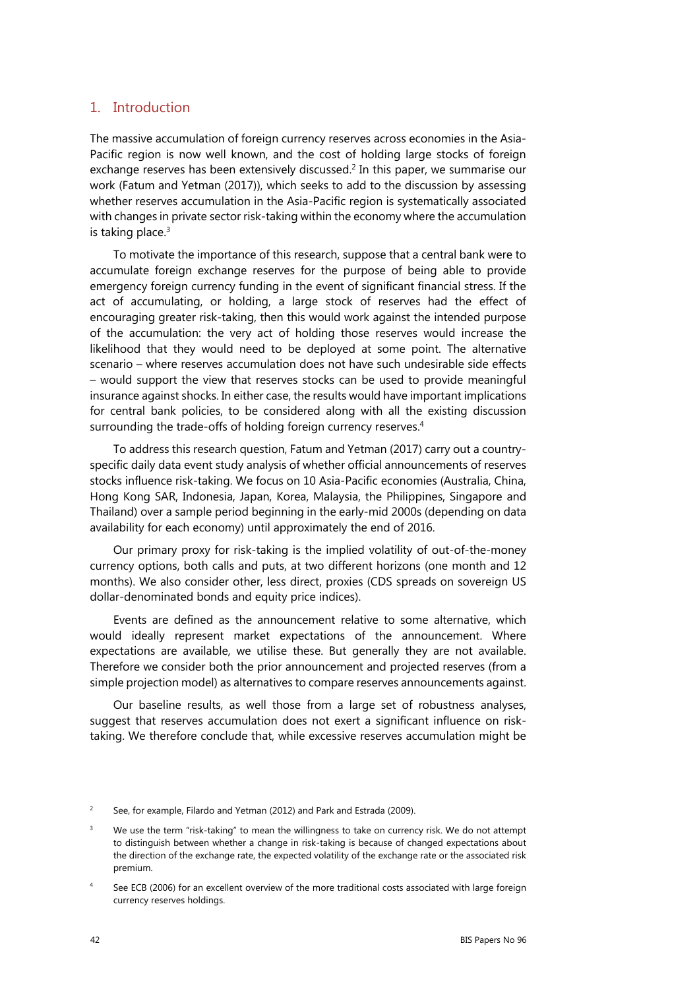# 1. Introduction

The massive accumulation of foreign currency reserves across economies in the Asia-Pacific region is now well known, and the cost of holding large stocks of foreign exchange reserves has been extensively discussed.<sup>2</sup> In this paper, we summarise our work (Fatum and Yetman (2017)), which seeks to add to the discussion by assessing whether reserves accumulation in the Asia-Pacific region is systematically associated with changes in private sector risk-taking within the economy where the accumulation is taking place. $3$ 

To motivate the importance of this research, suppose that a central bank were to accumulate foreign exchange reserves for the purpose of being able to provide emergency foreign currency funding in the event of significant financial stress. If the act of accumulating, or holding, a large stock of reserves had the effect of encouraging greater risk-taking, then this would work against the intended purpose of the accumulation: the very act of holding those reserves would increase the likelihood that they would need to be deployed at some point. The alternative scenario – where reserves accumulation does not have such undesirable side effects – would support the view that reserves stocks can be used to provide meaningful insurance against shocks. In either case, the results would have important implications for central bank policies, to be considered along with all the existing discussion surrounding the trade-offs of holding foreign currency reserves.<sup>4</sup>

To address this research question, Fatum and Yetman (2017) carry out a countryspecific daily data event study analysis of whether official announcements of reserves stocks influence risk-taking. We focus on 10 Asia-Pacific economies (Australia, China, Hong Kong SAR, Indonesia, Japan, Korea, Malaysia, the Philippines, Singapore and Thailand) over a sample period beginning in the early-mid 2000s (depending on data availability for each economy) until approximately the end of 2016.

Our primary proxy for risk-taking is the implied volatility of out-of-the-money currency options, both calls and puts, at two different horizons (one month and 12 months). We also consider other, less direct, proxies (CDS spreads on sovereign US dollar-denominated bonds and equity price indices).

Events are defined as the announcement relative to some alternative, which would ideally represent market expectations of the announcement. Where expectations are available, we utilise these. But generally they are not available. Therefore we consider both the prior announcement and projected reserves (from a simple projection model) as alternatives to compare reserves announcements against.

Our baseline results, as well those from a large set of robustness analyses, suggest that reserves accumulation does not exert a significant influence on risktaking. We therefore conclude that, while excessive reserves accumulation might be

 $\overline{2}$ See, for example, Filardo and Yetman (2012) and Park and Estrada (2009).

<sup>3</sup> We use the term "risk-taking" to mean the willingness to take on currency risk. We do not attempt to distinguish between whether a change in risk-taking is because of changed expectations about the direction of the exchange rate, the expected volatility of the exchange rate or the associated risk premium.

<sup>4</sup> See ECB (2006) for an excellent overview of the more traditional costs associated with large foreign currency reserves holdings.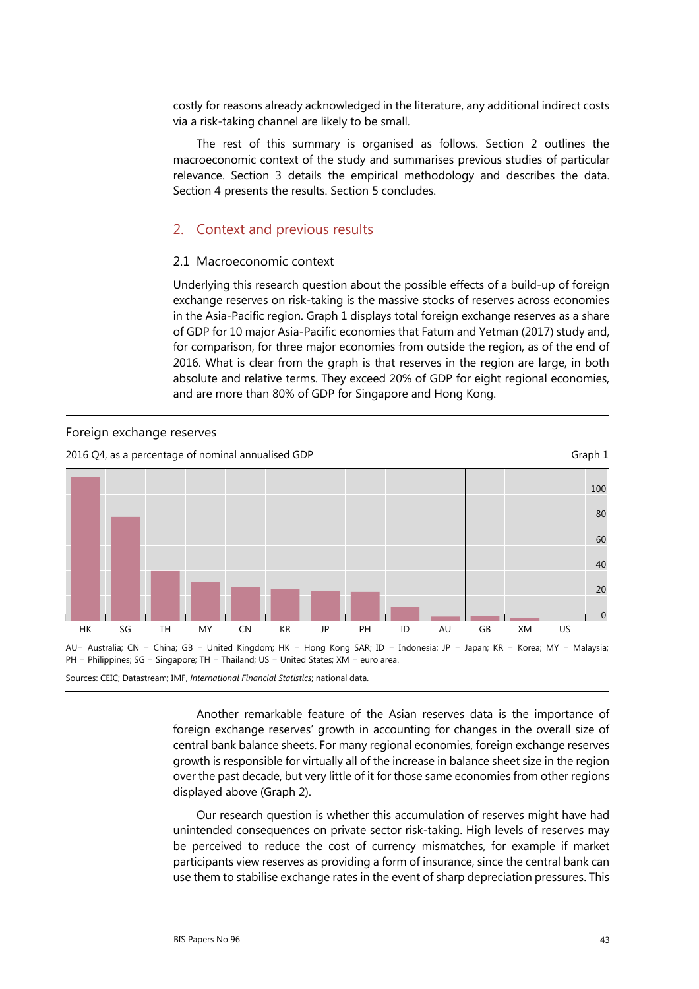costly for reasons already acknowledged in the literature, any additional indirect costs via a risk-taking channel are likely to be small.

The rest of this summary is organised as follows. Section 2 outlines the macroeconomic context of the study and summarises previous studies of particular relevance. Section 3 details the empirical methodology and describes the data. Section 4 presents the results. Section 5 concludes.

## 2. Context and previous results

#### 2.1 Macroeconomic context

Underlying this research question about the possible effects of a build-up of foreign exchange reserves on risk-taking is the massive stocks of reserves across economies in the Asia-Pacific region. Graph 1 displays total foreign exchange reserves as a share of GDP for 10 major Asia-Pacific economies that Fatum and Yetman (2017) study and, for comparison, for three major economies from outside the region, as of the end of 2016. What is clear from the graph is that reserves in the region are large, in both absolute and relative terms. They exceed 20% of GDP for eight regional economies, and are more than 80% of GDP for Singapore and Hong Kong.



Sources: CEIC; Datastream; IMF, *International Financial Statistics*; national data.

Another remarkable feature of the Asian reserves data is the importance of foreign exchange reserves' growth in accounting for changes in the overall size of central bank balance sheets. For many regional economies, foreign exchange reserves growth is responsible for virtually all of the increase in balance sheet size in the region over the past decade, but very little of it for those same economies from other regions displayed above (Graph 2).

Our research question is whether this accumulation of reserves might have had unintended consequences on private sector risk-taking. High levels of reserves may be perceived to reduce the cost of currency mismatches, for example if market participants view reserves as providing a form of insurance, since the central bank can use them to stabilise exchange rates in the event of sharp depreciation pressures. This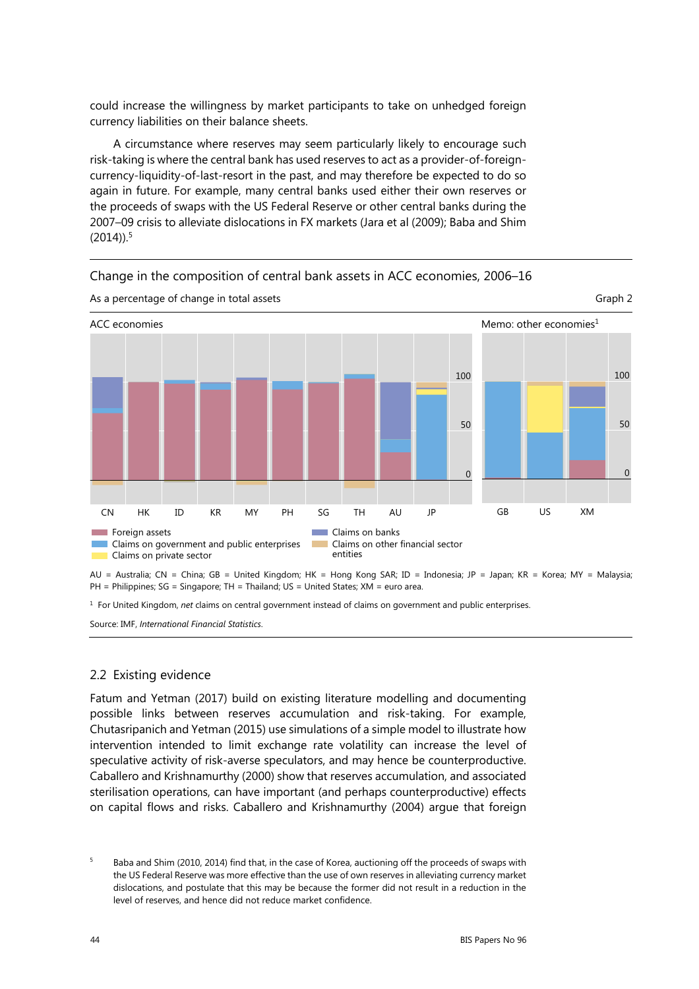could increase the willingness by market participants to take on unhedged foreign currency liabilities on their balance sheets.

A circumstance where reserves may seem particularly likely to encourage such risk-taking is where the central bank has used reserves to act as a provider-of-foreigncurrency-liquidity-of-last-resort in the past, and may therefore be expected to do so again in future. For example, many central banks used either their own reserves or the proceeds of swaps with the US Federal Reserve or other central banks during the 2007–09 crisis to alleviate dislocations in FX markets (Jara et al (2009); Baba and Shim  $(2014)$ .<sup>5</sup>



Change in the composition of central bank assets in ACC economies, 2006–16

Source: IMF, *International Financial Statistics*.

#### 2.2 Existing evidence

Fatum and Yetman (2017) build on existing literature modelling and documenting possible links between reserves accumulation and risk-taking. For example, Chutasripanich and Yetman (2015) use simulations of a simple model to illustrate how intervention intended to limit exchange rate volatility can increase the level of speculative activity of risk-averse speculators, and may hence be counterproductive. Caballero and Krishnamurthy (2000) show that reserves accumulation, and associated sterilisation operations, can have important (and perhaps counterproductive) effects on capital flows and risks. Caballero and Krishnamurthy (2004) argue that foreign

<sup>1</sup> For United Kingdom, *net* claims on central government instead of claims on government and public enterprises.

5 Baba and Shim (2010, 2014) find that, in the case of Korea, auctioning off the proceeds of swaps with the US Federal Reserve was more effective than the use of own reserves in alleviating currency market dislocations, and postulate that this may be because the former did not result in a reduction in the level of reserves, and hence did not reduce market confidence.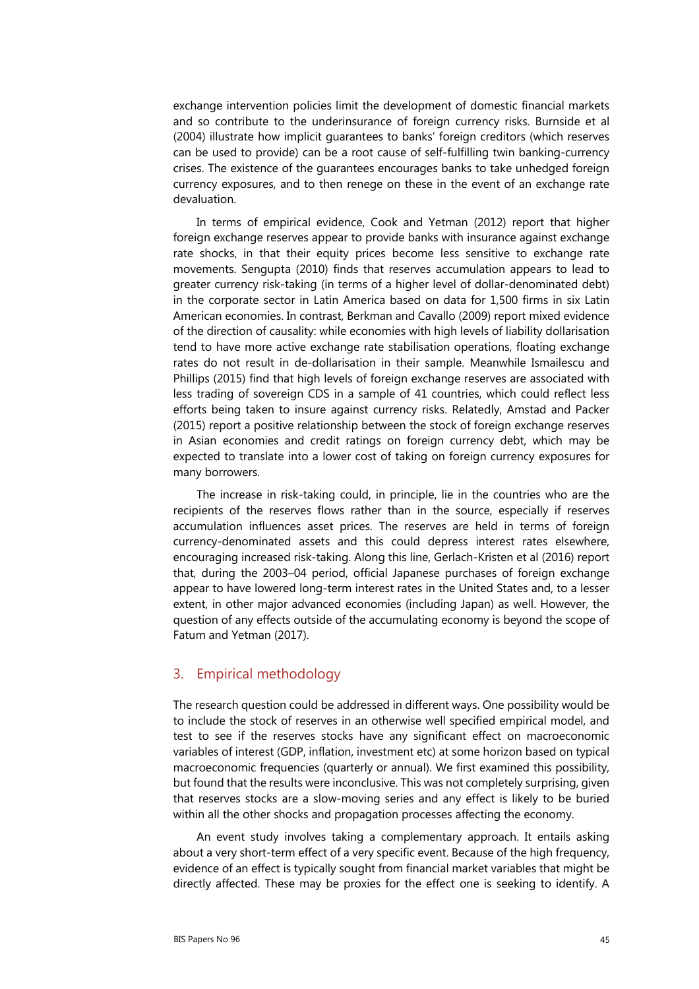exchange intervention policies limit the development of domestic financial markets and so contribute to the underinsurance of foreign currency risks. Burnside et al (2004) illustrate how implicit guarantees to banks' foreign creditors (which reserves can be used to provide) can be a root cause of self-fulfilling twin banking-currency crises. The existence of the guarantees encourages banks to take unhedged foreign currency exposures, and to then renege on these in the event of an exchange rate devaluation.

In terms of empirical evidence, Cook and Yetman (2012) report that higher foreign exchange reserves appear to provide banks with insurance against exchange rate shocks, in that their equity prices become less sensitive to exchange rate movements. Sengupta (2010) finds that reserves accumulation appears to lead to greater currency risk-taking (in terms of a higher level of dollar-denominated debt) in the corporate sector in Latin America based on data for 1,500 firms in six Latin American economies. In contrast, Berkman and Cavallo (2009) report mixed evidence of the direction of causality: while economies with high levels of liability dollarisation tend to have more active exchange rate stabilisation operations, floating exchange rates do not result in de-dollarisation in their sample. Meanwhile Ismailescu and Phillips (2015) find that high levels of foreign exchange reserves are associated with less trading of sovereign CDS in a sample of 41 countries, which could reflect less efforts being taken to insure against currency risks. Relatedly, Amstad and Packer (2015) report a positive relationship between the stock of foreign exchange reserves in Asian economies and credit ratings on foreign currency debt, which may be expected to translate into a lower cost of taking on foreign currency exposures for many borrowers.

The increase in risk-taking could, in principle, lie in the countries who are the recipients of the reserves flows rather than in the source, especially if reserves accumulation influences asset prices. The reserves are held in terms of foreign currency-denominated assets and this could depress interest rates elsewhere, encouraging increased risk-taking. Along this line, Gerlach-Kristen et al (2016) report that, during the 2003–04 period, official Japanese purchases of foreign exchange appear to have lowered long-term interest rates in the United States and, to a lesser extent, in other major advanced economies (including Japan) as well. However, the question of any effects outside of the accumulating economy is beyond the scope of Fatum and Yetman (2017).

# 3. Empirical methodology

The research question could be addressed in different ways. One possibility would be to include the stock of reserves in an otherwise well specified empirical model, and test to see if the reserves stocks have any significant effect on macroeconomic variables of interest (GDP, inflation, investment etc) at some horizon based on typical macroeconomic frequencies (quarterly or annual). We first examined this possibility, but found that the results were inconclusive. This was not completely surprising, given that reserves stocks are a slow-moving series and any effect is likely to be buried within all the other shocks and propagation processes affecting the economy.

An event study involves taking a complementary approach. It entails asking about a very short-term effect of a very specific event. Because of the high frequency, evidence of an effect is typically sought from financial market variables that might be directly affected. These may be proxies for the effect one is seeking to identify. A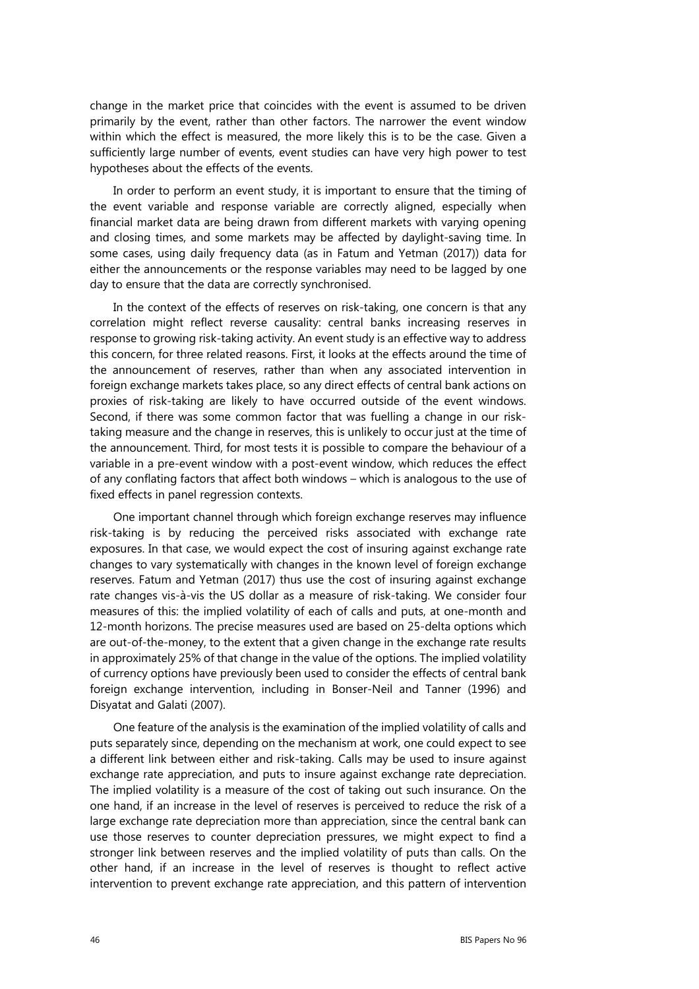change in the market price that coincides with the event is assumed to be driven primarily by the event, rather than other factors. The narrower the event window within which the effect is measured, the more likely this is to be the case. Given a sufficiently large number of events, event studies can have very high power to test hypotheses about the effects of the events.

In order to perform an event study, it is important to ensure that the timing of the event variable and response variable are correctly aligned, especially when financial market data are being drawn from different markets with varying opening and closing times, and some markets may be affected by daylight-saving time. In some cases, using daily frequency data (as in Fatum and Yetman (2017)) data for either the announcements or the response variables may need to be lagged by one day to ensure that the data are correctly synchronised.

In the context of the effects of reserves on risk-taking, one concern is that any correlation might reflect reverse causality: central banks increasing reserves in response to growing risk-taking activity. An event study is an effective way to address this concern, for three related reasons. First, it looks at the effects around the time of the announcement of reserves, rather than when any associated intervention in foreign exchange markets takes place, so any direct effects of central bank actions on proxies of risk-taking are likely to have occurred outside of the event windows. Second, if there was some common factor that was fuelling a change in our risktaking measure and the change in reserves, this is unlikely to occur just at the time of the announcement. Third, for most tests it is possible to compare the behaviour of a variable in a pre-event window with a post-event window, which reduces the effect of any conflating factors that affect both windows – which is analogous to the use of fixed effects in panel regression contexts.

One important channel through which foreign exchange reserves may influence risk-taking is by reducing the perceived risks associated with exchange rate exposures. In that case, we would expect the cost of insuring against exchange rate changes to vary systematically with changes in the known level of foreign exchange reserves. Fatum and Yetman (2017) thus use the cost of insuring against exchange rate changes vis-à-vis the US dollar as a measure of risk-taking. We consider four measures of this: the implied volatility of each of calls and puts, at one-month and 12-month horizons. The precise measures used are based on 25-delta options which are out-of-the-money, to the extent that a given change in the exchange rate results in approximately 25% of that change in the value of the options. The implied volatility of currency options have previously been used to consider the effects of central bank foreign exchange intervention, including in Bonser-Neil and Tanner (1996) and Disyatat and Galati (2007).

One feature of the analysis is the examination of the implied volatility of calls and puts separately since, depending on the mechanism at work, one could expect to see a different link between either and risk-taking. Calls may be used to insure against exchange rate appreciation, and puts to insure against exchange rate depreciation. The implied volatility is a measure of the cost of taking out such insurance. On the one hand, if an increase in the level of reserves is perceived to reduce the risk of a large exchange rate depreciation more than appreciation, since the central bank can use those reserves to counter depreciation pressures, we might expect to find a stronger link between reserves and the implied volatility of puts than calls. On the other hand, if an increase in the level of reserves is thought to reflect active intervention to prevent exchange rate appreciation, and this pattern of intervention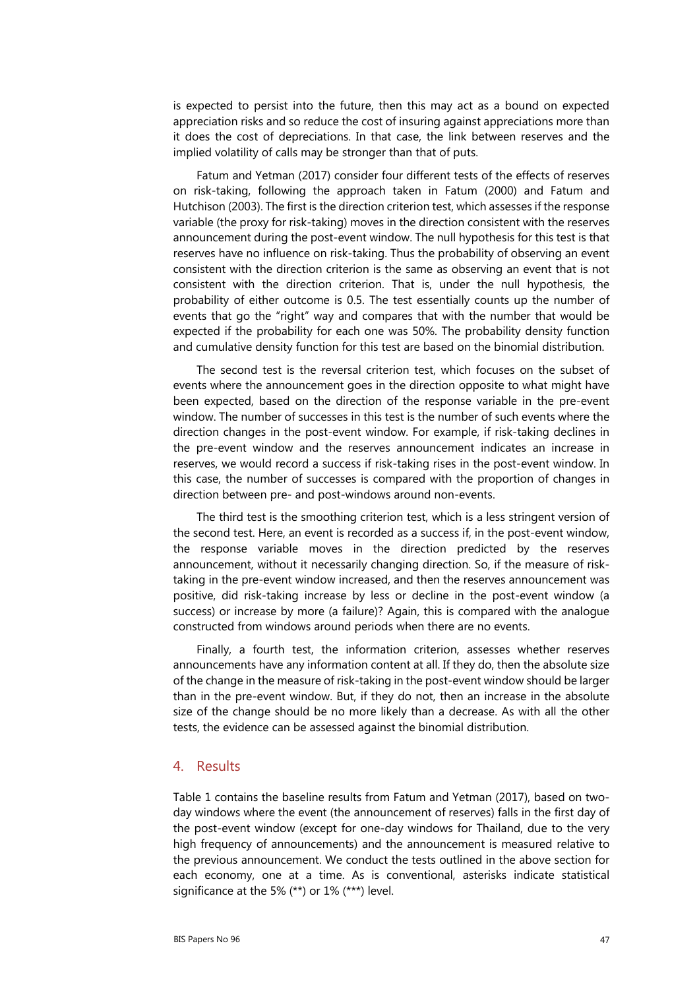is expected to persist into the future, then this may act as a bound on expected appreciation risks and so reduce the cost of insuring against appreciations more than it does the cost of depreciations. In that case, the link between reserves and the implied volatility of calls may be stronger than that of puts.

Fatum and Yetman (2017) consider four different tests of the effects of reserves on risk-taking, following the approach taken in Fatum (2000) and Fatum and Hutchison (2003). The first is the direction criterion test, which assesses if the response variable (the proxy for risk-taking) moves in the direction consistent with the reserves announcement during the post-event window. The null hypothesis for this test is that reserves have no influence on risk-taking. Thus the probability of observing an event consistent with the direction criterion is the same as observing an event that is not consistent with the direction criterion. That is, under the null hypothesis, the probability of either outcome is 0.5. The test essentially counts up the number of events that go the "right" way and compares that with the number that would be expected if the probability for each one was 50%. The probability density function and cumulative density function for this test are based on the binomial distribution.

The second test is the reversal criterion test, which focuses on the subset of events where the announcement goes in the direction opposite to what might have been expected, based on the direction of the response variable in the pre-event window. The number of successes in this test is the number of such events where the direction changes in the post-event window. For example, if risk-taking declines in the pre-event window and the reserves announcement indicates an increase in reserves, we would record a success if risk-taking rises in the post-event window. In this case, the number of successes is compared with the proportion of changes in direction between pre- and post-windows around non-events.

The third test is the smoothing criterion test, which is a less stringent version of the second test. Here, an event is recorded as a success if, in the post-event window, the response variable moves in the direction predicted by the reserves announcement, without it necessarily changing direction. So, if the measure of risktaking in the pre-event window increased, and then the reserves announcement was positive, did risk-taking increase by less or decline in the post-event window (a success) or increase by more (a failure)? Again, this is compared with the analogue constructed from windows around periods when there are no events.

Finally, a fourth test, the information criterion, assesses whether reserves announcements have any information content at all. If they do, then the absolute size of the change in the measure of risk-taking in the post-event window should be larger than in the pre-event window. But, if they do not, then an increase in the absolute size of the change should be no more likely than a decrease. As with all the other tests, the evidence can be assessed against the binomial distribution.

#### 4. Results

Table 1 contains the baseline results from Fatum and Yetman (2017), based on twoday windows where the event (the announcement of reserves) falls in the first day of the post-event window (except for one-day windows for Thailand, due to the very high frequency of announcements) and the announcement is measured relative to the previous announcement. We conduct the tests outlined in the above section for each economy, one at a time. As is conventional, asterisks indicate statistical significance at the 5% (\*\*) or 1% (\*\*\*) level.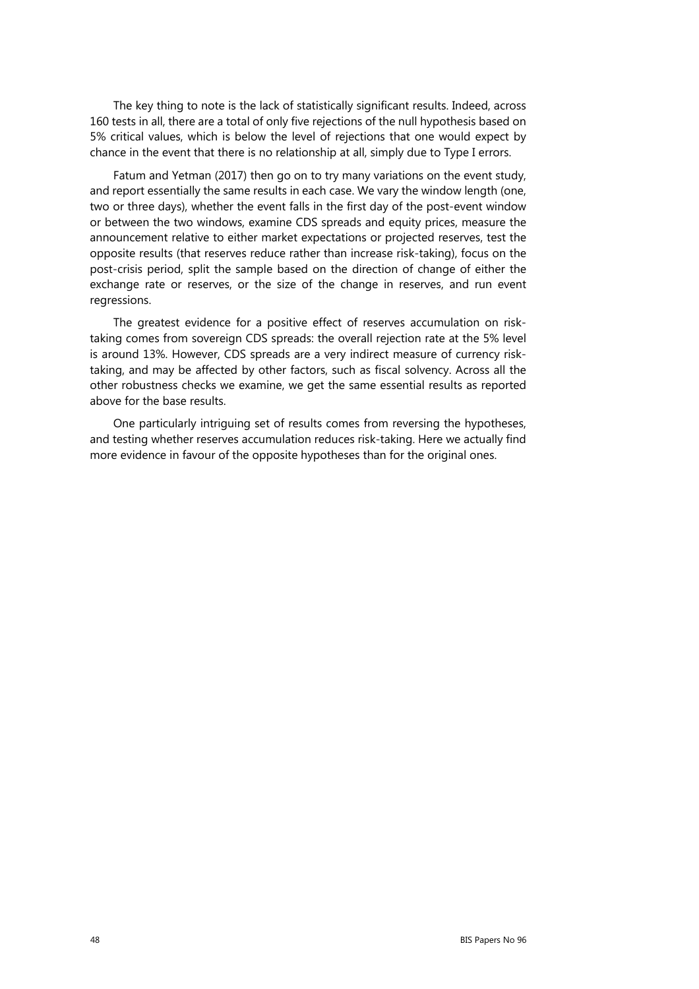The key thing to note is the lack of statistically significant results. Indeed, across 160 tests in all, there are a total of only five rejections of the null hypothesis based on 5% critical values, which is below the level of rejections that one would expect by chance in the event that there is no relationship at all, simply due to Type I errors.

Fatum and Yetman (2017) then go on to try many variations on the event study, and report essentially the same results in each case. We vary the window length (one, two or three days), whether the event falls in the first day of the post-event window or between the two windows, examine CDS spreads and equity prices, measure the announcement relative to either market expectations or projected reserves, test the opposite results (that reserves reduce rather than increase risk-taking), focus on the post-crisis period, split the sample based on the direction of change of either the exchange rate or reserves, or the size of the change in reserves, and run event regressions.

The greatest evidence for a positive effect of reserves accumulation on risktaking comes from sovereign CDS spreads: the overall rejection rate at the 5% level is around 13%. However, CDS spreads are a very indirect measure of currency risktaking, and may be affected by other factors, such as fiscal solvency. Across all the other robustness checks we examine, we get the same essential results as reported above for the base results.

One particularly intriguing set of results comes from reversing the hypotheses, and testing whether reserves accumulation reduces risk-taking. Here we actually find more evidence in favour of the opposite hypotheses than for the original ones.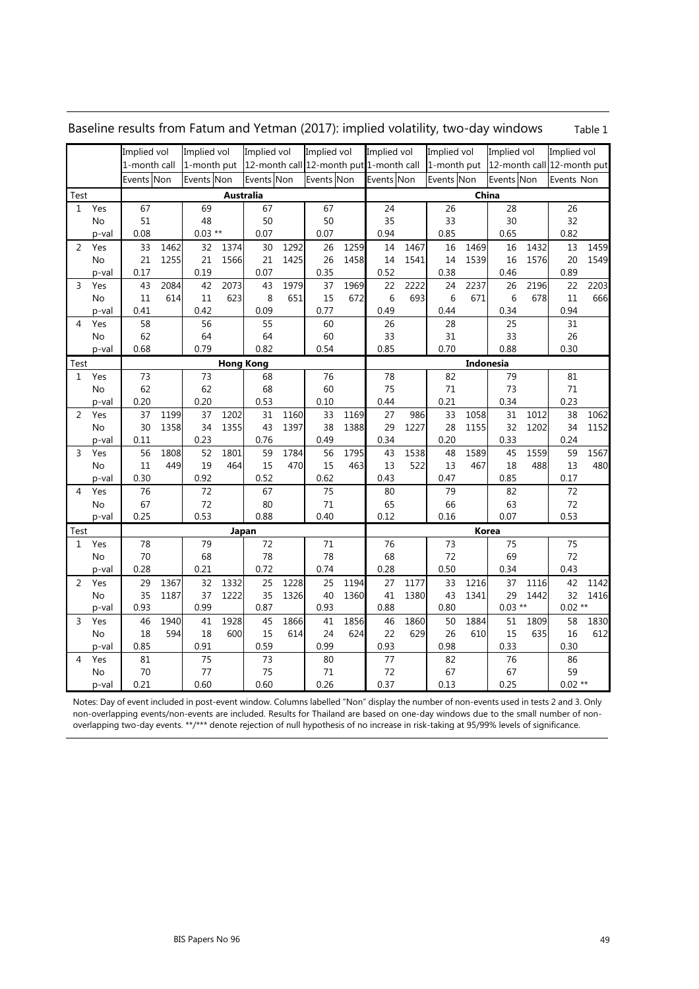|                |       | Implied vol  |      | Implied vol |      | Implied vol                             |      | Implied vol |       | Implied vol |       | Implied vol |      | Implied vol |      | Implied vol                |      |  |
|----------------|-------|--------------|------|-------------|------|-----------------------------------------|------|-------------|-------|-------------|-------|-------------|------|-------------|------|----------------------------|------|--|
|                |       | 1-month call |      | 1-month put |      | 12-month call 12-month put 1-month call |      |             |       |             |       | 1-month put |      |             |      | 12-month call 12-month put |      |  |
|                |       | Events Non   |      | Events Non  |      | Events Non                              |      | Events Non  |       | Events Non  |       | Events Non  |      | Events Non  |      | Events Non                 |      |  |
| Test           |       |              |      |             |      | Australia                               |      |             | China |             |       |             |      |             |      |                            |      |  |
| 1              | Yes   | 67           |      | 69          |      | 67                                      |      | 67          |       | 24          |       | 26          |      | 28          |      | 26                         |      |  |
|                | No    | 51           |      | 48          |      | 50                                      |      | 50          |       | 35          |       | 33          |      | 30          |      | 32                         |      |  |
|                | p-val | 0.08         |      | $0.03**$    |      | 0.07                                    |      | 0.07        |       | 0.94        |       | 0.85        |      | 0.65        |      | 0.82                       |      |  |
| $\overline{2}$ | Yes   | 33           | 1462 | 32          | 1374 | 30                                      | 1292 | 26          | 1259  | 14          | 1467  | 16          | 1469 | 16          | 1432 | 13                         | 1459 |  |
|                | No    | 21           | 1255 | 21          | 1566 | 21                                      | 1425 | 26          | 1458  | 14          | 1541  | 14          | 1539 | 16          | 1576 | 20                         | 1549 |  |
|                | p-val | 0.17         |      | 0.19        |      | 0.07                                    |      | 0.35        |       | 0.52        |       | 0.38        |      | 0.46        |      | 0.89                       |      |  |
| 3              | Yes   | 43           | 2084 | 42          | 2073 | 43                                      | 1979 | 37          | 1969  | 22          | 2222  | 24          | 2237 | 26          | 2196 | 22                         | 2203 |  |
|                | No    | 11           | 614  | 11          | 623  | 8                                       | 651  | 15          | 672   | 6           | 693   | 6           | 671  | 6           | 678  | 11                         | 666  |  |
|                | p-val | 0.41         |      | 0.42        |      | 0.09                                    |      | 0.77        |       | 0.49        |       | 0.44        |      | 0.34        |      | 0.94                       |      |  |
| 4              | Yes   | 58           |      | 56          |      | 55                                      |      | 60          |       | 26          |       | 28          |      | 25          |      | 31                         |      |  |
|                | No    | 62           |      | 64          |      | 64                                      |      | 60          |       | 33          |       | 31          |      | 33          |      | 26                         |      |  |
|                | p-val | 0.68         |      | 0.79        |      | 0.82                                    |      | 0.54        |       | 0.85        |       | 0.70        |      | 0.88        |      | 0.30                       |      |  |
| Test           |       |              |      |             |      | <b>Hong Kong</b>                        |      |             |       | Indonesia   |       |             |      |             |      |                            |      |  |
| $\mathbf{1}$   | Yes   | 73           |      | 73          |      | 68                                      |      | 76          |       | 78          |       | 82          |      | 79          |      | 81                         |      |  |
|                | No    | 62           |      | 62          |      | 68                                      |      | 60          |       | 75          |       | 71          |      | 73          |      | 71                         |      |  |
|                | p-val | 0.20         |      | 0.20        |      | 0.53                                    |      | 0.10        |       | 0.44        |       | 0.21        |      | 0.34        |      | 0.23                       |      |  |
| $\overline{2}$ | Yes   | 37           | 1199 | 37          | 1202 | 31                                      | 1160 | 33          | 1169  | 27          | 986   | 33          | 1058 | 31          | 1012 | 38                         | 1062 |  |
|                | No    | 30           | 1358 | 34          | 1355 | 43                                      | 1397 | 38          | 1388  | 29          | 1227  | 28          | 1155 | 32          | 1202 | 34                         | 1152 |  |
|                | p-val | 0.11         |      | 0.23        |      | 0.76                                    |      | 0.49        |       | 0.34        |       | 0.20        |      | 0.33        |      | 0.24                       |      |  |
| 3              | Yes   | 56           | 1808 | 52          | 1801 | 59                                      | 1784 | 56          | 1795  | 43          | 1538  | 48          | 1589 | 45          | 1559 | 59                         | 1567 |  |
|                | No    | 11           | 449  | 19          | 464  | 15                                      | 470  | 15          | 463   | 13          | 522   | 13          | 467  | 18          | 488  | 13                         | 480  |  |
|                | p-val | 0.30         |      | 0.92        |      | 0.52                                    |      | 0.62        |       | 0.43        |       | 0.47        |      | 0.85        |      | 0.17                       |      |  |
| 4              | Yes   | 76           |      | 72          |      | 67                                      |      | 75          |       | 80          |       | 79          |      | 82          |      | 72                         |      |  |
|                | No    | 67           |      | 72          |      | 80                                      |      | 71          |       | 65          |       | 66          |      | 63          |      | 72                         |      |  |
|                | p-val | 0.25         |      | 0.53        |      | 0.88                                    |      | 0.40        |       | 0.12        |       | 0.16        |      | 0.07        |      | 0.53                       |      |  |
| Test           |       |              |      |             |      | Japan                                   |      |             |       |             | Korea |             |      |             |      |                            |      |  |
| 1              | Yes   | 78           |      | 79          |      | 72                                      |      | 71          |       | 76          |       | 73          |      | 75          |      | 75                         |      |  |
|                | No    | 70           |      | 68          |      | 78                                      |      | 78          |       | 68          |       | 72          |      | 69          |      | 72                         |      |  |
|                | p-val | 0.28         |      | 0.21        |      | 0.72                                    |      | 0.74        |       | 0.28        |       | 0.50        |      | 0.34        |      | 0.43                       |      |  |
| $\overline{2}$ | Yes   | 29           | 1367 | 32          | 1332 | 25                                      | 1228 | 25          | 1194  | 27          | 1177  | 33          | 1216 | 37          | 1116 | 42                         | 1142 |  |
|                | No    | 35           | 1187 | 37          | 1222 | 35                                      | 1326 | 40          | 1360  | 41          | 1380  | 43          | 1341 | 29          | 1442 | 32                         | 1416 |  |
|                | p-val | 0.93         |      | 0.99        |      | 0.87                                    |      | 0.93        |       | 0.88        |       | 0.80        |      | $0.03$ **   |      | $0.02**$                   |      |  |
| 3              | Yes   | 46           | 1940 | 41          | 1928 | 45                                      | 1866 | 41          | 1856  | 46          | 1860  | 50          | 1884 | 51          | 1809 | 58                         | 1830 |  |
|                | No    | 18           | 594  | 18          | 600  | 15                                      | 614  | 24          | 624   | 22          | 629   | 26          | 610  | 15          | 635  | 16                         | 612  |  |
|                | p-val | 0.85         |      | 0.91        |      | 0.59                                    |      | 0.99        |       | 0.93        |       | 0.98        |      | 0.33        |      | 0.30                       |      |  |
| 4              | Yes   | 81           |      | 75          |      | 73                                      |      | 80          |       | 77          |       | 82          |      | 76          |      | 86                         |      |  |
|                | No    | 70           |      | 77          |      | 75                                      |      | 71          |       | 72          |       | 67          |      | 67          |      | 59                         |      |  |
|                | p-val | 0.21         |      | 0.60        |      | 0.60                                    |      | 0.26        |       | 0.37        |       | 0.13        |      | 0.25        |      | $0.02**$                   |      |  |

Baseline results from Fatum and Yetman (2017): implied volatility, two-day windows Table 1

Notes: Day of event included in post-event window. Columns labelled "Non" display the number of non-events used in tests 2 and 3. Only non-overlapping events/non-events are included. Results for Thailand are based on one-day windows due to the small number of nonoverlapping two-day events. \*\*/\*\*\* denote rejection of null hypothesis of no increase in risk-taking at 95/99% levels of significance.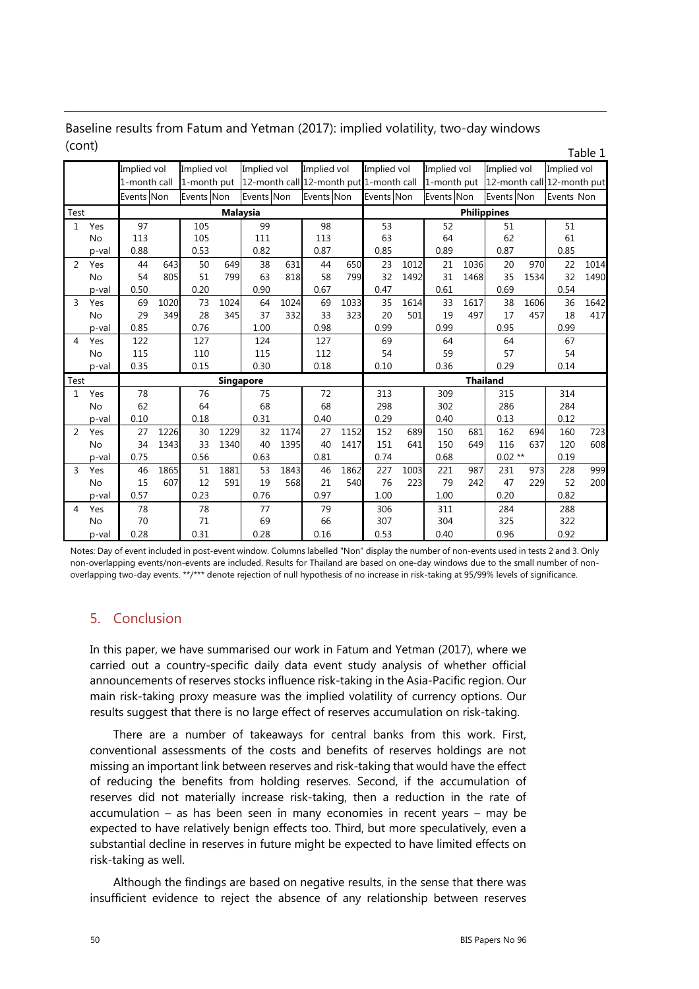| Table 1        |           |                  |      |             |      |                                         |      |             |      |                    |      |             |      |             |      |                            |      |
|----------------|-----------|------------------|------|-------------|------|-----------------------------------------|------|-------------|------|--------------------|------|-------------|------|-------------|------|----------------------------|------|
|                |           | Implied vol      |      | Implied vol |      | Implied vol                             |      | Implied vol |      | Implied vol        |      | Implied vol |      | Implied vol |      | Implied vol                |      |
|                |           | 1-month call     |      | 1-month put |      | 12-month call 12-month put 1-month call |      |             |      |                    |      | 1-month put |      |             |      | 12-month call 12-month put |      |
|                |           | Events Non       |      | Events Non  |      | Events Non                              |      | Events Non  |      | Events Non         |      | Events Non  |      | Events Non  |      | Events Non                 |      |
| Test           |           | <b>Malaysia</b>  |      |             |      |                                         |      |             |      | <b>Philippines</b> |      |             |      |             |      |                            |      |
| $\mathbf{1}$   | Yes       | 97               |      | 105         |      | 99                                      |      | 98          |      | 53                 |      | 52          |      | 51          |      | 51                         |      |
|                | <b>No</b> | 113              |      | 105         |      | 111                                     |      | 113         |      | 63                 |      | 64          |      | 62          |      | 61                         |      |
|                | p-val     | 0.88             |      | 0.53        |      | 0.82                                    |      | 0.87        |      | 0.85               |      | 0.89        |      | 0.87        |      | 0.85                       |      |
| 2              | Yes       | 44               | 643  | 50          | 649  | 38                                      | 631  | 44          | 650  | 23                 | 1012 | 21          | 1036 | 20          | 970  | 22                         | 1014 |
|                | <b>No</b> | 54               | 805  | 51          | 799  | 63                                      | 818  | 58          | 799  | 32                 | 1492 | 31          | 1468 | 35          | 1534 | 32                         | 1490 |
|                | p-val     | 0.50             |      | 0.20        |      | 0.90                                    |      | 0.67        |      | 0.47               |      | 0.61        |      | 0.69        |      | 0.54                       |      |
| 3              | Yes       | 69               | 1020 | 73          | 1024 | 64                                      | 1024 | 69          | 1033 | 35                 | 1614 | 33          | 1617 | 38          | 1606 | 36                         | 1642 |
|                | <b>No</b> | 29               | 349  | 28          | 345  | 37                                      | 332  | 33          | 323  | 20                 | 501  | 19          | 497  | 17          | 457  | 18                         | 417  |
|                | p-val     | 0.85             |      | 0.76        |      | 1.00                                    |      | 0.98        |      | 0.99               |      | 0.99        |      | 0.95        |      | 0.99                       |      |
| $\overline{4}$ | Yes       | 122              |      | 127         |      | 124                                     |      | 127         |      | 69                 |      | 64          |      | 64          |      | 67                         |      |
|                | No        | 115              |      | 110         |      | 115                                     |      | 112         |      | 54                 |      | 59          |      | 57          |      | 54                         |      |
|                | p-val     | 0.35             |      | 0.15        |      | 0.30                                    |      | 0.18        |      | 0.10               |      | 0.36        |      | 0.29        |      | 0.14                       |      |
| Test           |           | <b>Singapore</b> |      |             |      |                                         |      |             |      | <b>Thailand</b>    |      |             |      |             |      |                            |      |
| $\mathbf{1}$   | Yes       | 78               |      | 76          |      | 75                                      |      | 72          |      | 313                |      | 309         |      | 315         |      | 314                        |      |
|                | <b>No</b> | 62               |      | 64          |      | 68                                      |      | 68          |      | 298                |      | 302         |      | 286         |      | 284                        |      |
|                | p-val     | 0.10             |      | 0.18        |      | 0.31                                    |      | 0.40        |      | 0.29               |      | 0.40        |      | 0.13        |      | 0.12                       |      |
| 2              | Yes       | 27               | 1226 | 30          | 1229 | 32                                      | 1174 | 27          | 1152 | 152                | 689  | 150         | 681  | 162         | 694  | 160                        | 723  |
|                | <b>No</b> | 34               | 1343 | 33          | 1340 | 40                                      | 1395 | 40          | 1417 | 151                | 641  | 150         | 649  | 116         | 637  | 120                        | 608  |
|                | p-val     | 0.75             |      | 0.56        |      | 0.63                                    |      | 0.81        |      | 0.74               |      | 0.68        |      | $0.02**$    |      | 0.19                       |      |
| 3              | Yes       | 46               | 1865 | 51          | 1881 | 53                                      | 1843 | 46          | 1862 | 227                | 1003 | 221         | 987  | 231         | 973  | 228                        | 999  |
|                | <b>No</b> | 15               | 607  | 12          | 591  | 19                                      | 568  | 21          | 540  | 76                 | 223  | 79          | 242  | 47          | 229  | 52                         | 200  |
|                | p-val     | 0.57             |      | 0.23        |      | 0.76                                    |      | 0.97        |      | 1.00               |      | 1.00        |      | 0.20        |      | 0.82                       |      |
| 4              | Yes       | 78               |      | 78          |      | 77                                      |      | 79          |      | 306                |      | 311         |      | 284         |      | 288                        |      |
|                | No        | 70               |      | 71          |      | 69                                      |      | 66          |      | 307                |      | 304         |      | 325         |      | 322                        |      |
|                | p-val     | 0.28             |      | 0.31        |      | 0.28                                    |      | 0.16        |      | 0.53               |      | 0.40        |      | 0.96        |      | 0.92                       |      |

Baseline results from Fatum and Yetman (2017): implied volatility, two-day windows (cont) Table 1

Notes: Day of event included in post-event window. Columns labelled "Non" display the number of non-events used in tests 2 and 3. Only non-overlapping events/non-events are included. Results for Thailand are based on one-day windows due to the small number of nonoverlapping two-day events. \*\*/\*\*\* denote rejection of null hypothesis of no increase in risk-taking at 95/99% levels of significance.

# 5. Conclusion

In this paper, we have summarised our work in Fatum and Yetman (2017), where we carried out a country-specific daily data event study analysis of whether official announcements of reserves stocks influence risk-taking in the Asia-Pacific region. Our main risk-taking proxy measure was the implied volatility of currency options. Our results suggest that there is no large effect of reserves accumulation on risk-taking.

There are a number of takeaways for central banks from this work. First, conventional assessments of the costs and benefits of reserves holdings are not missing an important link between reserves and risk-taking that would have the effect of reducing the benefits from holding reserves. Second, if the accumulation of reserves did not materially increase risk-taking, then a reduction in the rate of accumulation – as has been seen in many economies in recent years – may be expected to have relatively benign effects too. Third, but more speculatively, even a substantial decline in reserves in future might be expected to have limited effects on risk-taking as well.

Although the findings are based on negative results, in the sense that there was insufficient evidence to reject the absence of any relationship between reserves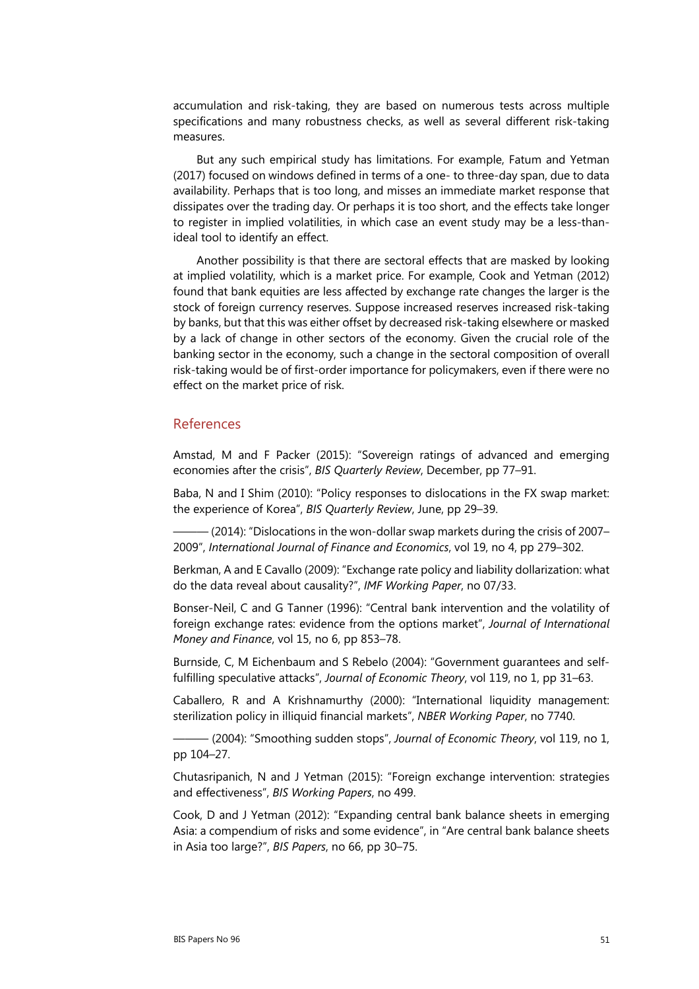accumulation and risk-taking, they are based on numerous tests across multiple specifications and many robustness checks, as well as several different risk-taking measures.

But any such empirical study has limitations. For example, Fatum and Yetman (2017) focused on windows defined in terms of a one- to three-day span, due to data availability. Perhaps that is too long, and misses an immediate market response that dissipates over the trading day. Or perhaps it is too short, and the effects take longer to register in implied volatilities, in which case an event study may be a less-thanideal tool to identify an effect.

Another possibility is that there are sectoral effects that are masked by looking at implied volatility, which is a market price. For example, Cook and Yetman (2012) found that bank equities are less affected by exchange rate changes the larger is the stock of foreign currency reserves. Suppose increased reserves increased risk-taking by banks, but that this was either offset by decreased risk-taking elsewhere or masked by a lack of change in other sectors of the economy. Given the crucial role of the banking sector in the economy, such a change in the sectoral composition of overall risk-taking would be of first-order importance for policymakers, even if there were no effect on the market price of risk.

#### References

Amstad, M and F Packer (2015): "Sovereign ratings of advanced and emerging economies after the crisis", *BIS Quarterly Review*, December, pp 77–91.

Baba, N and I Shim (2010): "Policy responses to dislocations in the FX swap market: the experience of Korea", *BIS Quarterly Review*, June, pp 29–39.

 $-$  (2014): "Dislocations in the won-dollar swap markets during the crisis of 2007– 2009", *International Journal of Finance and Economics*, vol 19, no 4, pp 279–302.

Berkman, A and E Cavallo (2009): "Exchange rate policy and liability dollarization: what do the data reveal about causality?", *IMF Working Paper*, no 07/33.

Bonser-Neil, C and G Tanner (1996): "Central bank intervention and the volatility of foreign exchange rates: evidence from the options market", *Journal of International Money and Finance*, vol 15, no 6, pp 853–78.

Burnside, C, M Eichenbaum and S Rebelo (2004): "Government guarantees and selffulfilling speculative attacks", *Journal of Economic Theory*, vol 119, no 1, pp 31–63.

Caballero, R and A Krishnamurthy (2000): "International liquidity management: sterilization policy in illiquid financial markets", *NBER Working Paper*, no 7740.

——— (2004): "Smoothing sudden stops", *Journal of Economic Theory*, vol 119, no 1, pp 104–27.

Chutasripanich, N and J Yetman (2015): "Foreign exchange intervention: strategies and effectiveness", *BIS Working Papers*, no 499.

Cook, D and J Yetman (2012): "Expanding central bank balance sheets in emerging Asia: a compendium of risks and some evidence", in "Are central bank balance sheets in Asia too large?", *BIS Papers*, no 66, pp 30–75.